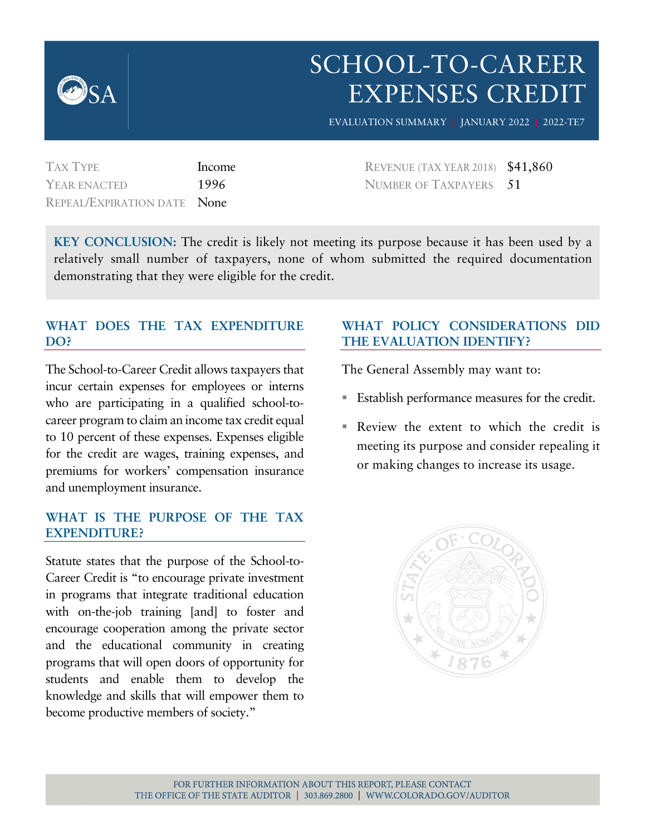

# SCHOOL-TO-CAREER EXPENSES CREDIT EVALUATION SUMMARY **|** JANUARY 2022 **|** 2022-TE7

TAX TYPE Income YEAR ENACTED 1996 REPEAL/EXPIRATION DATE None

REVENUE (TAX YEAR 2018) \$41,860 NUMBER OF TAXPAYERS 51

**KEY CONCLUSION:** The credit is likely not meeting its purpose because it has been used by a relatively small number of taxpayers, none of whom submitted the required documentation demonstrating that they were eligible for the credit.

#### **WHAT DOES THE TAX EXPENDITURE DO?**

The School-to-Career Credit allows taxpayers that incur certain expenses for employees or interns who are participating in a qualified school-tocareer program to claim an income tax credit equal to 10 percent of these expenses. Expenses eligible for the credit are wages, training expenses, and premiums for workers' compensation insurance and unemployment insurance.

#### **WHAT IS THE PURPOSE OF THE TAX EXPENDITURE?**

Statute states that the purpose of the School-to-Career Credit is "to encourage private investment in programs that integrate traditional education with on-the-job training [and] to foster and encourage cooperation among the private sector and the educational community in creating programs that will open doors of opportunity for students and enable them to develop the knowledge and skills that will empower them to become productive members of society."

#### **WHAT POLICY CONSIDERATIONS DID THE EVALUATION IDENTIFY?**

The General Assembly may want to:

- **Establish performance measures for the credit.**
- Review the extent to which the credit is meeting its purpose and consider repealing it or making changes to increase its usage.

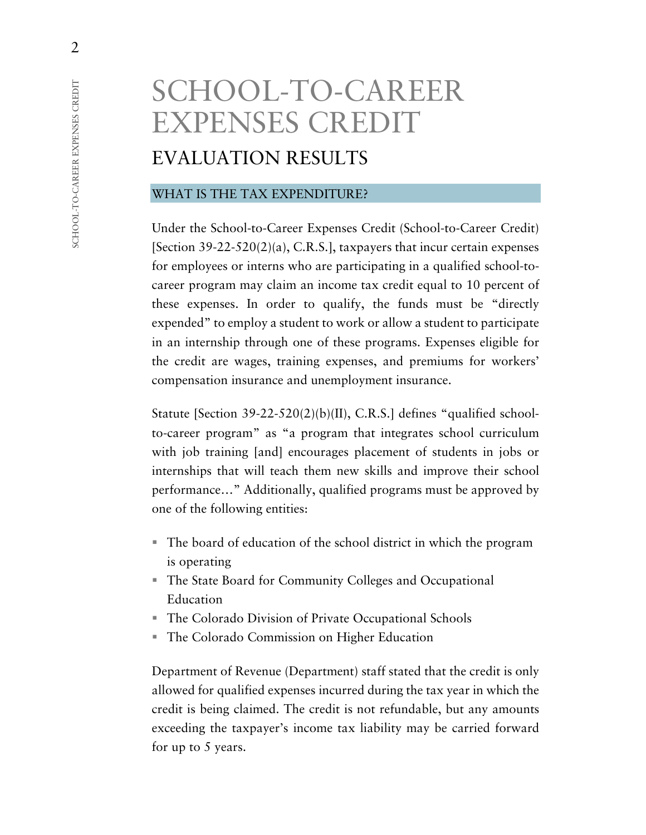# SCHOOL-TO-CAREER EXPENSES CREDIT EVALUATION RESULTS

#### WHAT IS THE TAX EXPENDITURE?

Under the School-to-Career Expenses Credit (School-to-Career Credit) [Section 39-22-520(2)(a), C.R.S.], taxpayers that incur certain expenses for employees or interns who are participating in a qualified school-tocareer program may claim an income tax credit equal to 10 percent of these expenses. In order to qualify, the funds must be "directly expended" to employ a student to work or allow a student to participate in an internship through one of these programs. Expenses eligible for the credit are wages, training expenses, and premiums for workers' compensation insurance and unemployment insurance.

Statute [Section 39-22-520(2)(b)(II), C.R.S.] defines "qualified schoolto-career program" as "a program that integrates school curriculum with job training [and] encourages placement of students in jobs or internships that will teach them new skills and improve their school performance…" Additionally, qualified programs must be approved by one of the following entities:

- The board of education of the school district in which the program is operating
- The State Board for Community Colleges and Occupational Education
- The Colorado Division of Private Occupational Schools
- The Colorado Commission on Higher Education

Department of Revenue (Department) staff stated that the credit is only allowed for qualified expenses incurred during the tax year in which the credit is being claimed. The credit is not refundable, but any amounts exceeding the taxpayer's income tax liability may be carried forward for up to 5 years.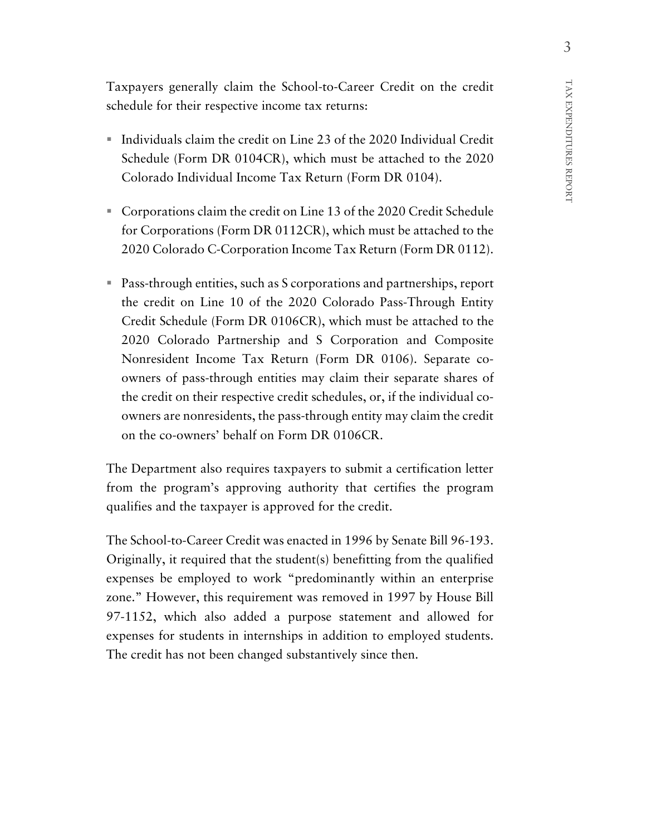Taxpayers generally claim the School-to-Career Credit on the credit schedule for their respective income tax returns:

- Individuals claim the credit on Line 23 of the 2020 Individual Credit Schedule (Form DR 0104CR), which must be attached to the 2020 Colorado Individual Income Tax Return (Form DR 0104).
- Corporations claim the credit on Line 13 of the 2020 Credit Schedule for Corporations (Form DR 0112CR), which must be attached to the 2020 Colorado C-Corporation Income Tax Return (Form DR 0112).
- Pass-through entities, such as S corporations and partnerships, report the credit on Line 10 of the 2020 Colorado Pass-Through Entity Credit Schedule (Form DR 0106CR), which must be attached to the 2020 Colorado Partnership and S Corporation and Composite Nonresident Income Tax Return (Form DR 0106). Separate coowners of pass-through entities may claim their separate shares of the credit on their respective credit schedules, or, if the individual coowners are nonresidents, the pass-through entity may claim the credit on the co-owners' behalf on Form DR 0106CR.

The Department also requires taxpayers to submit a certification letter from the program's approving authority that certifies the program qualifies and the taxpayer is approved for the credit.

The School-to-Career Credit was enacted in 1996 by Senate Bill 96-193. Originally, it required that the student(s) benefitting from the qualified expenses be employed to work "predominantly within an enterprise zone." However, this requirement was removed in 1997 by House Bill 97-1152, which also added a purpose statement and allowed for expenses for students in internships in addition to employed students. The credit has not been changed substantively since then.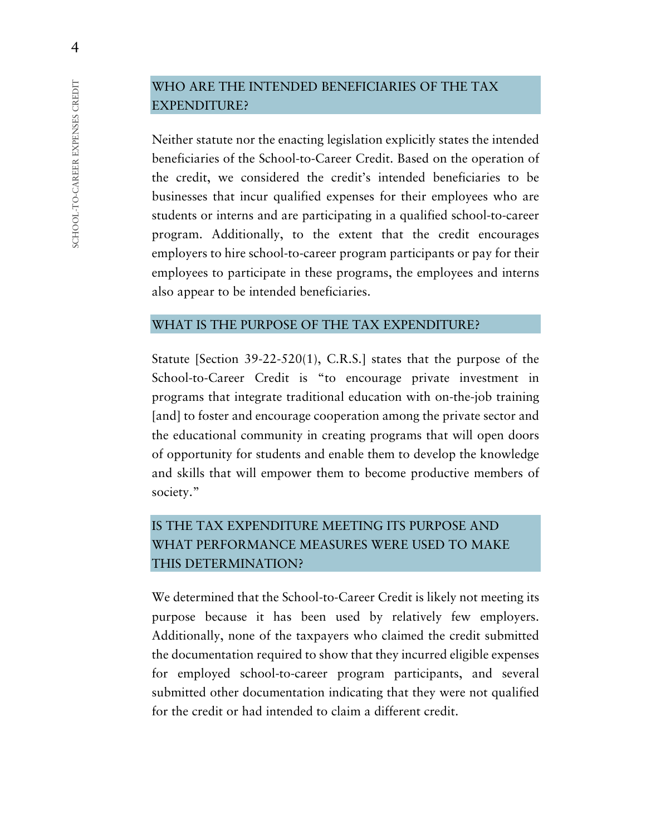# WHO ARE THE INTENDED BENEFICIARIES OF THE TAX EXPENDITURE?

Neither statute nor the enacting legislation explicitly states the intended beneficiaries of the School-to-Career Credit. Based on the operation of the credit, we considered the credit's intended beneficiaries to be businesses that incur qualified expenses for their employees who are students or interns and are participating in a qualified school-to-career program. Additionally, to the extent that the credit encourages employers to hire school-to-career program participants or pay for their employees to participate in these programs, the employees and interns also appear to be intended beneficiaries.

#### WHAT IS THE PURPOSE OF THE TAX EXPENDITURE?

Statute [Section 39-22-520(1), C.R.S.] states that the purpose of the School-to-Career Credit is "to encourage private investment in programs that integrate traditional education with on-the-job training [and] to foster and encourage cooperation among the private sector and the educational community in creating programs that will open doors of opportunity for students and enable them to develop the knowledge and skills that will empower them to become productive members of society."

# IS THE TAX EXPENDITURE MEETING ITS PURPOSE AND WHAT PERFORMANCE MEASURES WERE USED TO MAKE THIS DETERMINATION?

We determined that the School-to-Career Credit is likely not meeting its purpose because it has been used by relatively few employers. Additionally, none of the taxpayers who claimed the credit submitted the documentation required to show that they incurred eligible expenses for employed school-to-career program participants, and several submitted other documentation indicating that they were not qualified for the credit or had intended to claim a different credit.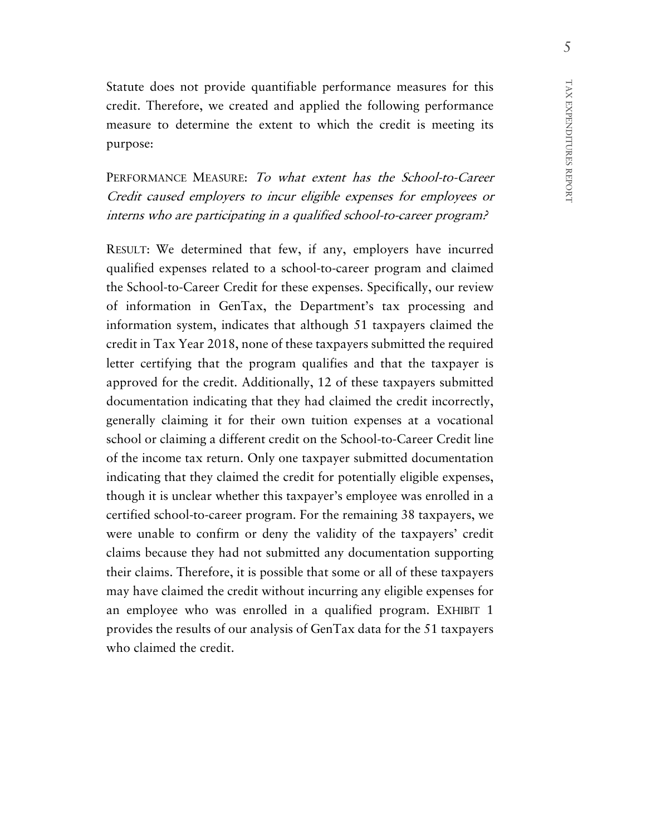Statute does not provide quantifiable performance measures for this credit. Therefore, we created and applied the following performance measure to determine the extent to which the credit is meeting its purpose:

PERFORMANCE MEASURE: To what extent has the School-to-Career Credit caused employers to incur eligible expenses for employees or interns who are participating in a qualified school-to-career program?

RESULT: We determined that few, if any, employers have incurred qualified expenses related to a school-to-career program and claimed the School-to-Career Credit for these expenses. Specifically, our review of information in GenTax, the Department's tax processing and information system, indicates that although 51 taxpayers claimed the credit in Tax Year 2018, none of these taxpayers submitted the required letter certifying that the program qualifies and that the taxpayer is approved for the credit. Additionally, 12 of these taxpayers submitted documentation indicating that they had claimed the credit incorrectly, generally claiming it for their own tuition expenses at a vocational school or claiming a different credit on the School-to-Career Credit line of the income tax return. Only one taxpayer submitted documentation indicating that they claimed the credit for potentially eligible expenses, though it is unclear whether this taxpayer's employee was enrolled in a certified school-to-career program. For the remaining 38 taxpayers, we were unable to confirm or deny the validity of the taxpayers' credit claims because they had not submitted any documentation supporting their claims. Therefore, it is possible that some or all of these taxpayers may have claimed the credit without incurring any eligible expenses for an employee who was enrolled in a qualified program. EXHIBIT 1 provides the results of our analysis of GenTax data for the 51 taxpayers who claimed the credit.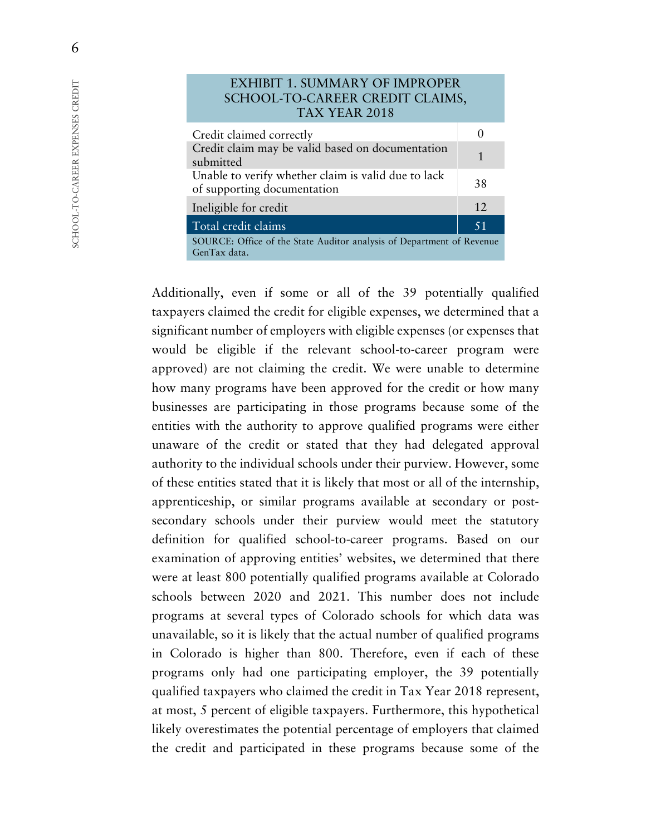| <b>EXHIBIT 1. SUMMARY OF IMPROPER</b><br>SCHOOL-TO-CAREER CREDIT CLAIMS,<br>TAX YEAR 2018 |                   |  |  |
|-------------------------------------------------------------------------------------------|-------------------|--|--|
| Credit claimed correctly                                                                  | $\mathbf{\Omega}$ |  |  |
| Credit claim may be valid based on documentation<br>submitted                             |                   |  |  |
| Unable to verify whether claim is valid due to lack<br>of supporting documentation        |                   |  |  |
| Ineligible for credit                                                                     | 12                |  |  |
| Total credit claims                                                                       | 51                |  |  |
| SOURCE: Office of the State Auditor analysis of Department of Revenue<br>GenTax data.     |                   |  |  |

Additionally, even if some or all of the 39 potentially qualified taxpayers claimed the credit for eligible expenses, we determined that a significant number of employers with eligible expenses (or expenses that would be eligible if the relevant school-to-career program were approved) are not claiming the credit. We were unable to determine how many programs have been approved for the credit or how many businesses are participating in those programs because some of the entities with the authority to approve qualified programs were either unaware of the credit or stated that they had delegated approval authority to the individual schools under their purview. However, some of these entities stated that it is likely that most or all of the internship, apprenticeship, or similar programs available at secondary or postsecondary schools under their purview would meet the statutory definition for qualified school-to-career programs. Based on our examination of approving entities' websites, we determined that there were at least 800 potentially qualified programs available at Colorado schools between 2020 and 2021. This number does not include programs at several types of Colorado schools for which data was unavailable, so it is likely that the actual number of qualified programs in Colorado is higher than 800. Therefore, even if each of these programs only had one participating employer, the 39 potentially qualified taxpayers who claimed the credit in Tax Year 2018 represent, at most, 5 percent of eligible taxpayers. Furthermore, this hypothetical likely overestimates the potential percentage of employers that claimed the credit and participated in these programs because some of the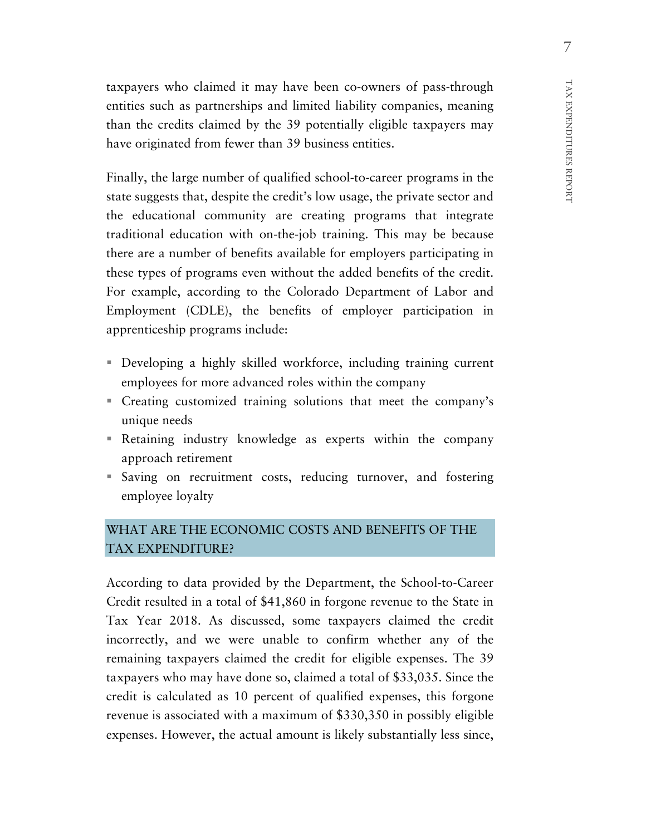taxpayers who claimed it may have been co-owners of pass-through entities such as partnerships and limited liability companies, meaning than the credits claimed by the 39 potentially eligible taxpayers may have originated from fewer than 39 business entities.

Finally, the large number of qualified school-to-career programs in the state suggests that, despite the credit's low usage, the private sector and the educational community are creating programs that integrate traditional education with on-the-job training. This may be because there are a number of benefits available for employers participating in these types of programs even without the added benefits of the credit. For example, according to the Colorado Department of Labor and Employment (CDLE), the benefits of employer participation in apprenticeship programs include:

- Developing a highly skilled workforce, including training current employees for more advanced roles within the company
- Creating customized training solutions that meet the company's unique needs
- Retaining industry knowledge as experts within the company approach retirement
- Saving on recruitment costs, reducing turnover, and fostering employee loyalty

# WHAT ARE THE ECONOMIC COSTS AND BENEFITS OF THE TAX EXPENDITURE?

According to data provided by the Department, the School-to-Career Credit resulted in a total of \$41,860 in forgone revenue to the State in Tax Year 2018. As discussed, some taxpayers claimed the credit incorrectly, and we were unable to confirm whether any of the remaining taxpayers claimed the credit for eligible expenses. The 39 taxpayers who may have done so, claimed a total of \$33,035. Since the credit is calculated as 10 percent of qualified expenses, this forgone revenue is associated with a maximum of \$330,350 in possibly eligible expenses. However, the actual amount is likely substantially less since,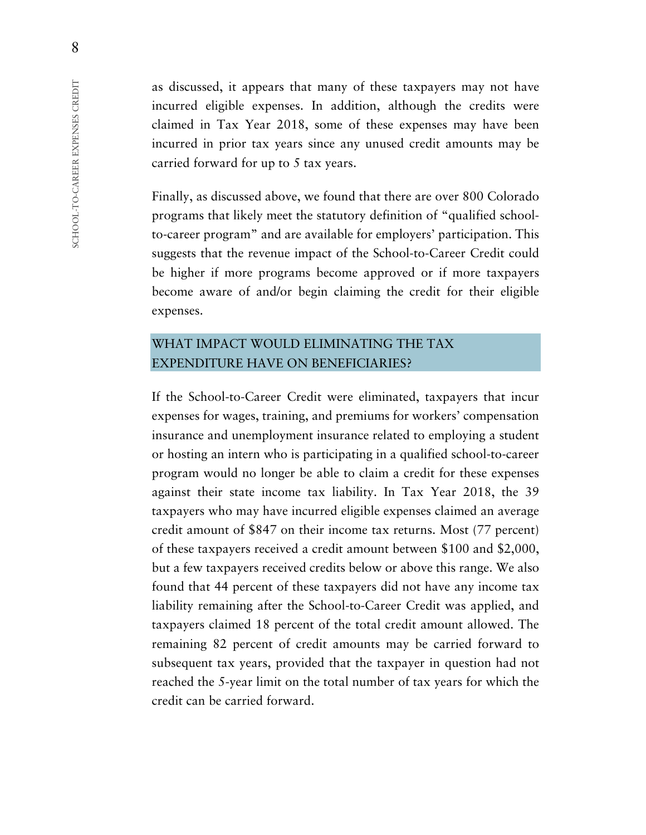as discussed, it appears that many of these taxpayers may not have incurred eligible expenses. In addition, although the credits were claimed in Tax Year 2018, some of these expenses may have been incurred in prior tax years since any unused credit amounts may be carried forward for up to 5 tax years.

Finally, as discussed above, we found that there are over 800 Colorado programs that likely meet the statutory definition of "qualified schoolto-career program" and are available for employers' participation. This suggests that the revenue impact of the School-to-Career Credit could be higher if more programs become approved or if more taxpayers become aware of and/or begin claiming the credit for their eligible expenses.

# WHAT IMPACT WOULD ELIMINATING THE TAX EXPENDITURE HAVE ON BENEFICIARIES?

If the School-to-Career Credit were eliminated, taxpayers that incur expenses for wages, training, and premiums for workers' compensation insurance and unemployment insurance related to employing a student or hosting an intern who is participating in a qualified school-to-career program would no longer be able to claim a credit for these expenses against their state income tax liability. In Tax Year 2018, the 39 taxpayers who may have incurred eligible expenses claimed an average credit amount of \$847 on their income tax returns. Most (77 percent) of these taxpayers received a credit amount between \$100 and \$2,000, but a few taxpayers received credits below or above this range. We also found that 44 percent of these taxpayers did not have any income tax liability remaining after the School-to-Career Credit was applied, and taxpayers claimed 18 percent of the total credit amount allowed. The remaining 82 percent of credit amounts may be carried forward to subsequent tax years, provided that the taxpayer in question had not reached the 5-year limit on the total number of tax years for which the credit can be carried forward.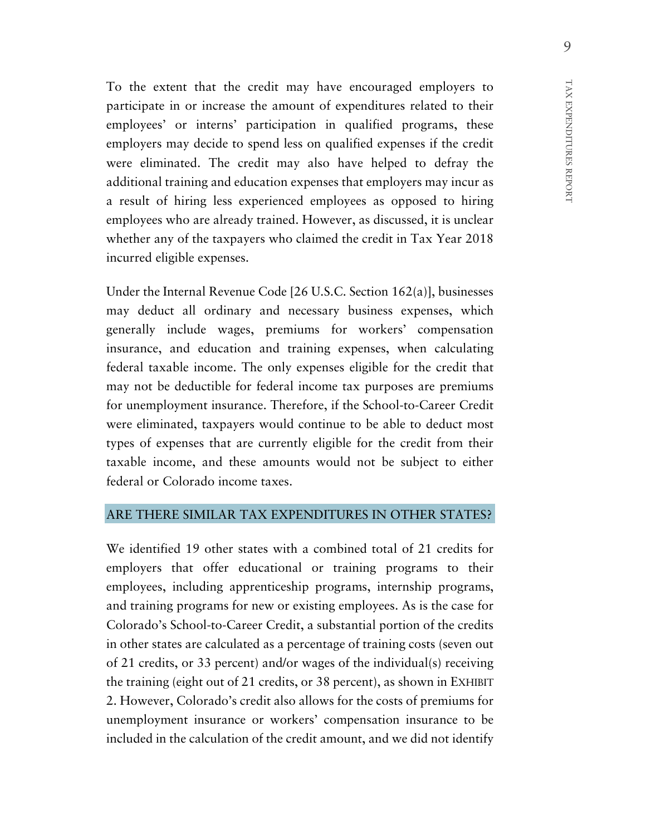To the extent that the credit may have encouraged employers to participate in or increase the amount of expenditures related to their employees' or interns' participation in qualified programs, these employers may decide to spend less on qualified expenses if the credit were eliminated. The credit may also have helped to defray the additional training and education expenses that employers may incur as a result of hiring less experienced employees as opposed to hiring employees who are already trained. However, as discussed, it is unclear whether any of the taxpayers who claimed the credit in Tax Year 2018 incurred eligible expenses.

Under the Internal Revenue Code [26 U.S.C. Section 162(a)], businesses may deduct all ordinary and necessary business expenses, which generally include wages, premiums for workers' compensation insurance, and education and training expenses, when calculating federal taxable income. The only expenses eligible for the credit that may not be deductible for federal income tax purposes are premiums for unemployment insurance. Therefore, if the School-to-Career Credit were eliminated, taxpayers would continue to be able to deduct most types of expenses that are currently eligible for the credit from their taxable income, and these amounts would not be subject to either federal or Colorado income taxes.

#### ARE THERE SIMILAR TAX EXPENDITURES IN OTHER STATES?

We identified 19 other states with a combined total of 21 credits for employers that offer educational or training programs to their employees, including apprenticeship programs, internship programs, and training programs for new or existing employees. As is the case for Colorado's School-to-Career Credit, a substantial portion of the credits in other states are calculated as a percentage of training costs (seven out of 21 credits, or 33 percent) and/or wages of the individual(s) receiving the training (eight out of 21 credits, or 38 percent), as shown in EXHIBIT 2. However, Colorado's credit also allows for the costs of premiums for unemployment insurance or workers' compensation insurance to be included in the calculation of the credit amount, and we did not identify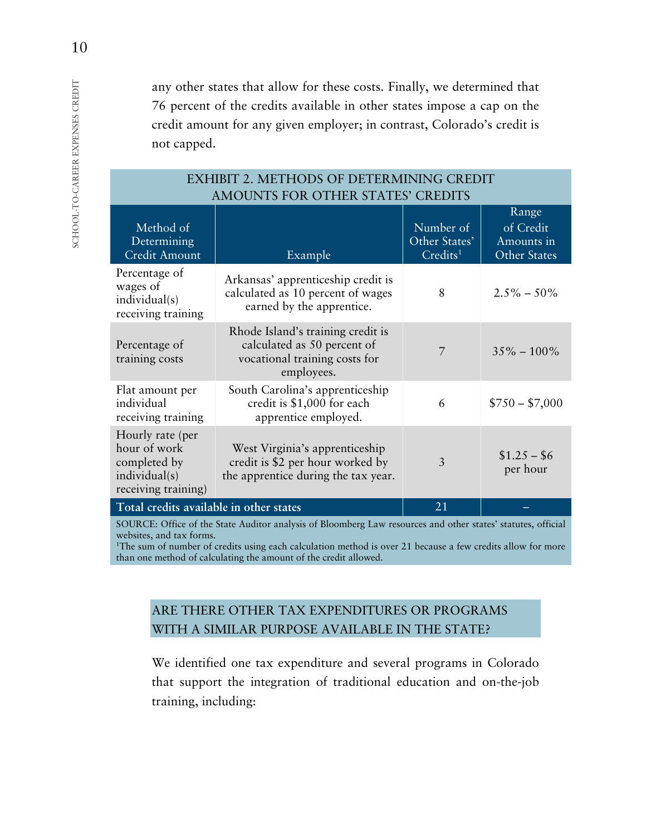any other states that allow for these costs. Finally, we determined that 76 percent of the credits available in other states impose a cap on the credit amount for any given employer; in contrast, Colorado's credit is not capped.

| AMOUNIS FOR OTHER STATES CREDITS                                                         |                                                                                                                 |                                                    |                                                  |
|------------------------------------------------------------------------------------------|-----------------------------------------------------------------------------------------------------------------|----------------------------------------------------|--------------------------------------------------|
| Method of<br>Determining<br><b>Credit Amount</b>                                         | Example                                                                                                         | Number of<br>Other States'<br>Credits <sup>1</sup> | Range<br>of Credit<br>Amounts in<br>Other States |
| Percentage of<br>wages of<br>individual(s)<br>receiving training                         | Arkansas' apprenticeship credit is<br>calculated as 10 percent of wages<br>earned by the apprentice.            | 8                                                  | $2.5\% - 50\%$                                   |
| Percentage of<br>training costs                                                          | Rhode Island's training credit is<br>calculated as 50 percent of<br>vocational training costs for<br>employees. | $\overline{7}$                                     | $35\% - 100\%$                                   |
| Flat amount per<br>individual<br>receiving training                                      | South Carolina's apprenticeship<br>credit is \$1,000 for each<br>apprentice employed.                           | 6                                                  | $$750 - $7,000$                                  |
| Hourly rate (per<br>hour of work<br>completed by<br>individual(s)<br>receiving training) | West Virginia's apprenticeship<br>credit is \$2 per hour worked by<br>the apprentice during the tax year.       | 3                                                  | $$1.25 - $6$<br>per hour                         |
| Total credits available in other states                                                  |                                                                                                                 | 21                                                 |                                                  |

#### EXHIBIT 2. METHODS OF DETERMINING CREDIT AMOUNTS FOR OTHER STATES' CREDITS

SOURCE: Office of the State Auditor analysis of Bloomberg Law resources and other states' statutes, official websites, and tax forms.

<sup>1</sup>The sum of number of credits using each calculation method is over 21 because a few credits allow for more than one method of calculating the amount of the credit allowed.

# ARE THERE OTHER TAX EXPENDITURES OR PROGRAMS WITH A SIMILAR PURPOSE AVAILABLE IN THE STATE?

We identified one tax expenditure and several programs in Colorado that support the integration of traditional education and on-the-job training, including: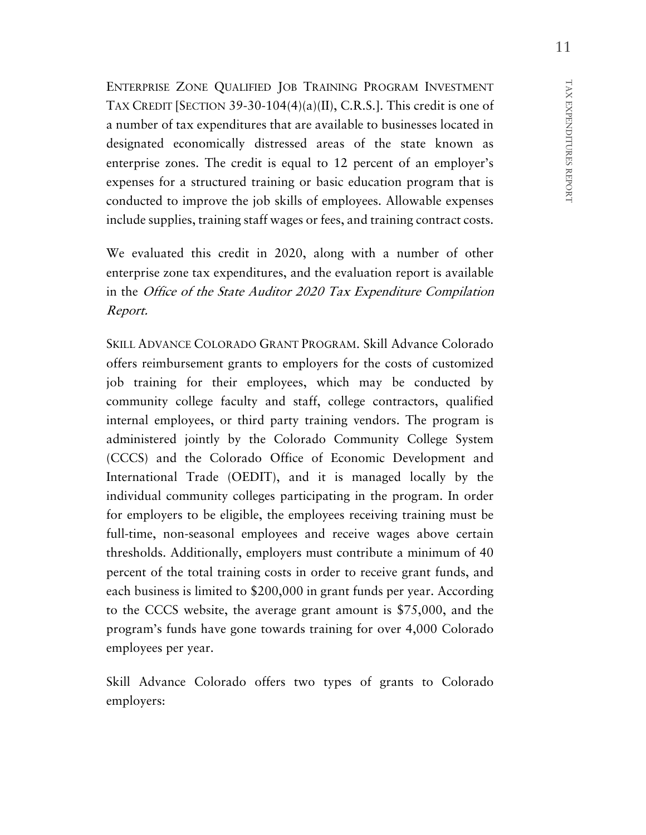ENTERPRISE ZONE QUALIFIED JOB TRAINING PROGRAM INVESTMENT TAX CREDIT [SECTION 39-30-104(4)(a)(II), C.R.S.]. This credit is one of a number of tax expenditures that are available to businesses located in designated economically distressed areas of the state known as enterprise zones. The credit is equal to 12 percent of an employer's expenses for a structured training or basic education program that is conducted to improve the job skills of employees. Allowable expenses include supplies, training staff wages or fees, and training contract costs.

We evaluated this credit in 2020, along with a number of other enterprise zone tax expenditures, and the evaluation report is available in the Office of the State Auditor 2020 Tax Expenditure Compilation Report.

SKILL ADVANCE COLORADO GRANT PROGRAM. Skill Advance Colorado offers reimbursement grants to employers for the costs of customized job training for their employees, which may be conducted by community college faculty and staff, college contractors, qualified internal employees, or third party training vendors. The program is administered jointly by the Colorado Community College System (CCCS) and the Colorado Office of Economic Development and International Trade (OEDIT), and it is managed locally by the individual community colleges participating in the program. In order for employers to be eligible, the employees receiving training must be full-time, non-seasonal employees and receive wages above certain thresholds. Additionally, employers must contribute a minimum of 40 percent of the total training costs in order to receive grant funds, and each business is limited to \$200,000 in grant funds per year. According to the CCCS website, the average grant amount is \$75,000, and the program's funds have gone towards training for over 4,000 Colorado employees per year.

Skill Advance Colorado offers two types of grants to Colorado employers:

REPORT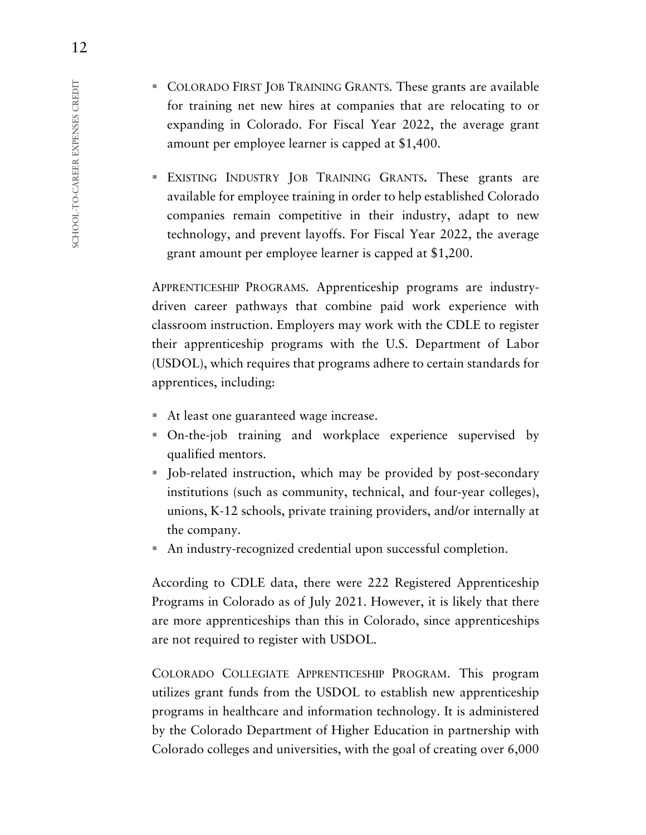- COLORADO FIRST JOB TRAINING GRANTS. These grants are available for training net new hires at companies that are relocating to or expanding in Colorado. For Fiscal Year 2022, the average grant amount per employee learner is capped at \$1,400.
- EXISTING INDUSTRY JOB TRAINING GRANTS**.** These grants are available for employee training in order to help established Colorado companies remain competitive in their industry, adapt to new technology, and prevent layoffs. For Fiscal Year 2022, the average grant amount per employee learner is capped at \$1,200.

APPRENTICESHIP PROGRAMS. Apprenticeship programs are industrydriven career pathways that combine paid work experience with classroom instruction. Employers may work with the CDLE to register their apprenticeship programs with the U.S. Department of Labor (USDOL), which requires that programs adhere to certain standards for apprentices, including:

- At least one guaranteed wage increase.
- On-the-job training and workplace experience supervised by qualified mentors.
- Job-related instruction, which may be provided by post-secondary institutions (such as community, technical, and four-year colleges), unions, K-12 schools, private training providers, and/or internally at the company.
- An industry-recognized credential upon successful completion.

According to CDLE data, there were 222 Registered Apprenticeship Programs in Colorado as of July 2021. However, it is likely that there are more apprenticeships than this in Colorado, since apprenticeships are not required to register with USDOL.

COLORADO COLLEGIATE APPRENTICESHIP PROGRAM. This program utilizes grant funds from the USDOL to establish new apprenticeship programs in healthcare and information technology. It is administered by the Colorado Department of Higher Education in partnership with Colorado colleges and universities, with the goal of creating over 6,000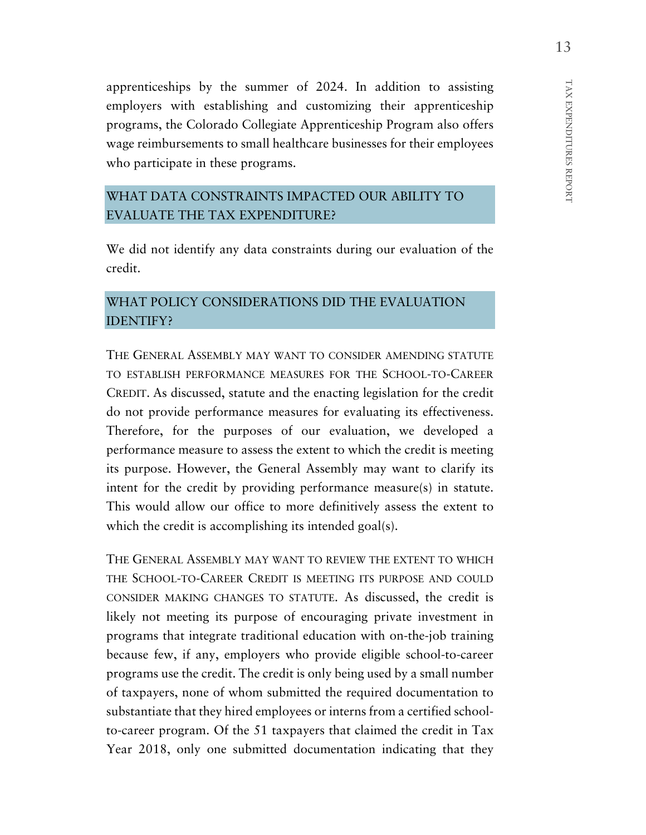TAX EXPENDITURES REPORT TAX EXPENDITURES REPORT

apprenticeships by the summer of 2024. In addition to assisting employers with establishing and customizing their apprenticeship programs, the Colorado Collegiate Apprenticeship Program also offers wage reimbursements to small healthcare businesses for their employees who participate in these programs.

# WHAT DATA CONSTRAINTS IMPACTED OUR ABILITY TO EVALUATE THE TAX EXPENDITURE?

We did not identify any data constraints during our evaluation of the credit.

# WHAT POLICY CONSIDERATIONS DID THE EVALUATION IDENTIFY?

THE GENERAL ASSEMBLY MAY WANT TO CONSIDER AMENDING STATUTE TO ESTABLISH PERFORMANCE MEASURES FOR THE SCHOOL-TO-CAREER CREDIT. As discussed, statute and the enacting legislation for the credit do not provide performance measures for evaluating its effectiveness. Therefore, for the purposes of our evaluation, we developed a performance measure to assess the extent to which the credit is meeting its purpose. However, the General Assembly may want to clarify its intent for the credit by providing performance measure(s) in statute. This would allow our office to more definitively assess the extent to which the credit is accomplishing its intended goal(s).

THE GENERAL ASSEMBLY MAY WANT TO REVIEW THE EXTENT TO WHICH THE SCHOOL-TO-CAREER CREDIT IS MEETING ITS PURPOSE AND COULD CONSIDER MAKING CHANGES TO STATUTE. As discussed, the credit is likely not meeting its purpose of encouraging private investment in programs that integrate traditional education with on-the-job training because few, if any, employers who provide eligible school-to-career programs use the credit. The credit is only being used by a small number of taxpayers, none of whom submitted the required documentation to substantiate that they hired employees or interns from a certified schoolto-career program. Of the 51 taxpayers that claimed the credit in Tax Year 2018, only one submitted documentation indicating that they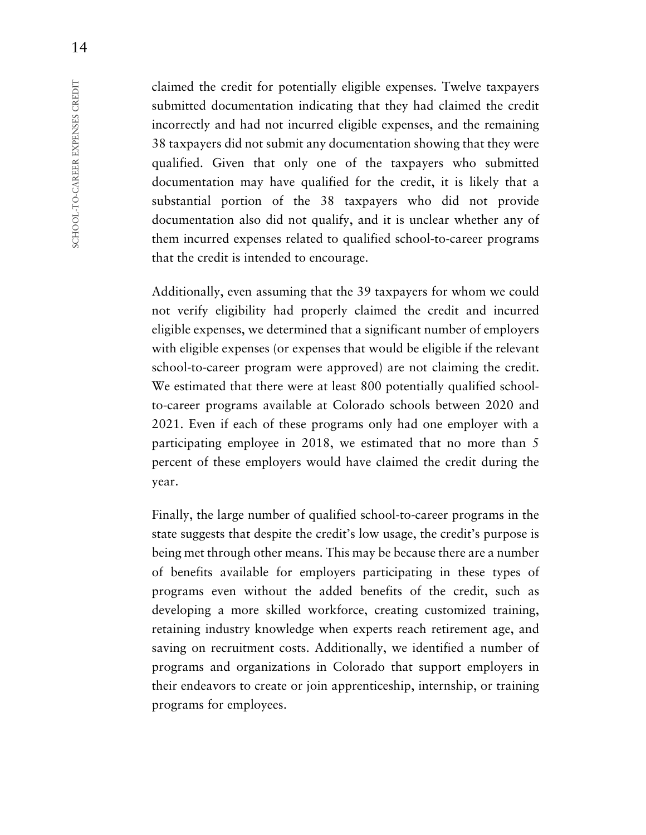claimed the credit for potentially eligible expenses. Twelve taxpayers submitted documentation indicating that they had claimed the credit incorrectly and had not incurred eligible expenses, and the remaining 38 taxpayers did not submit any documentation showing that they were qualified. Given that only one of the taxpayers who submitted documentation may have qualified for the credit, it is likely that a substantial portion of the 38 taxpayers who did not provide documentation also did not qualify, and it is unclear whether any of them incurred expenses related to qualified school-to-career programs that the credit is intended to encourage.

Additionally, even assuming that the 39 taxpayers for whom we could not verify eligibility had properly claimed the credit and incurred eligible expenses, we determined that a significant number of employers with eligible expenses (or expenses that would be eligible if the relevant school-to-career program were approved) are not claiming the credit. We estimated that there were at least 800 potentially qualified schoolto-career programs available at Colorado schools between 2020 and 2021. Even if each of these programs only had one employer with a participating employee in 2018, we estimated that no more than 5 percent of these employers would have claimed the credit during the year.

Finally, the large number of qualified school-to-career programs in the state suggests that despite the credit's low usage, the credit's purpose is being met through other means. This may be because there are a number of benefits available for employers participating in these types of programs even without the added benefits of the credit, such as developing a more skilled workforce, creating customized training, retaining industry knowledge when experts reach retirement age, and saving on recruitment costs. Additionally, we identified a number of programs and organizations in Colorado that support employers in their endeavors to create or join apprenticeship, internship, or training programs for employees.